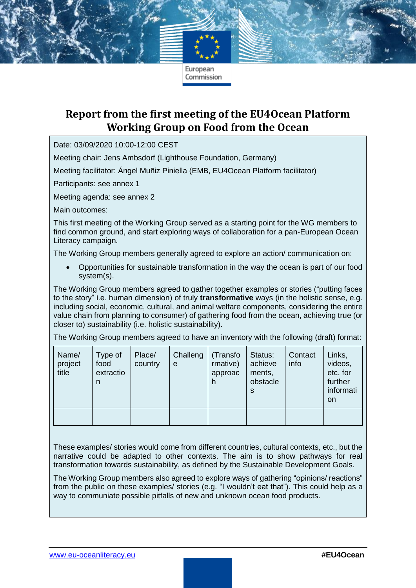## **Report from the first meeting of the EU4Ocean Platform Working Group on Food from the Ocean**

Date: 03/09/2020 10:00-12:00 CEST

Meeting chair: Jens Ambsdorf (Lighthouse Foundation, Germany)

Meeting facilitator: Ángel Muñiz Piniella (EMB, EU4Ocean Platform facilitator)

Participants: see annex 1

Meeting agenda: see annex 2

Main outcomes:

This first meeting of the Working Group served as a starting point for the WG members to find common ground, and start exploring ways of collaboration for a pan-European Ocean Literacy campaign.

The Working Group members generally agreed to explore an action/ communication on:

• Opportunities for sustainable transformation in the way the ocean is part of our food system(s).

The Working Group members agreed to gather together examples or stories ("putting faces to the story" i.e. human dimension) of truly **transformative** ways (in the holistic sense, e.g. including social, economic, cultural, and animal welfare components, considering the entire value chain from planning to consumer) of gathering food from the ocean, achieving true (or closer to) sustainability (i.e. holistic sustainability).

The Working Group members agreed to have an inventory with the following (draft) format:

| Name/<br>project<br>title | Type of<br>food<br>extractio<br>n | Place/<br>country | Challeng<br>e | (Transfo)<br>rmative)<br>approac | Status:<br>achieve<br>ments,<br>obstacle<br>S | Contact<br>info | Links,<br>videos,<br>etc. for<br>further<br>informati<br>on |
|---------------------------|-----------------------------------|-------------------|---------------|----------------------------------|-----------------------------------------------|-----------------|-------------------------------------------------------------|
|                           |                                   |                   |               |                                  |                                               |                 |                                                             |

These examples/ stories would come from different countries, cultural contexts, etc., but the narrative could be adapted to other contexts. The aim is to show pathways for real transformation towards sustainability, as defined by the Sustainable Development Goals.

The Working Group members also agreed to explore ways of gathering "opinions/ reactions" from the public on these examples/ stories (e.g. "I wouldn't eat that"). This could help as a way to communiate possible pitfalls of new and unknown ocean food products.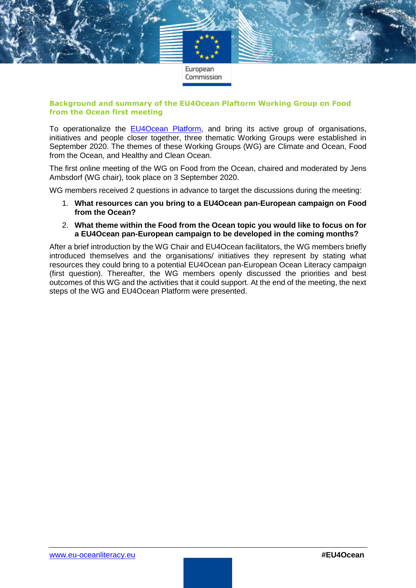

#### **Background and summary of the EU4Ocean Plaftorm Working Group on Food from the Ocean first meeting**

To operationalize the [EU4Ocean Platform,](https://webgate.ec.europa.eu/maritimeforum/en/frontpage/1483) and bring its active group of organisations, initiatives and people closer together, three thematic Working Groups were established in September 2020. The themes of these Working Groups (WG) are Climate and Ocean, Food from the Ocean, and Healthy and Clean Ocean.

The first online meeting of the WG on Food from the Ocean, chaired and moderated by Jens Ambsdorf (WG chair), took place on 3 September 2020.

WG members received 2 questions in advance to target the discussions during the meeting:

- 1. **What resources can you bring to a EU4Ocean pan-European campaign on Food from the Ocean?**
- 2. **What theme within the Food from the Ocean topic you would like to focus on for a EU4Ocean pan-European campaign to be developed in the coming months?**

After a brief introduction by the WG Chair and EU4Ocean facilitators, the WG members briefly introduced themselves and the organisations/ initiatives they represent by stating what resources they could bring to a potential EU4Ocean pan-European Ocean Literacy campaign (first question). Thereafter, the WG members openly discussed the priorities and best outcomes of this WG and the activities that it could support. At the end of the meeting, the next steps of the WG and EU4Ocean Platform were presented.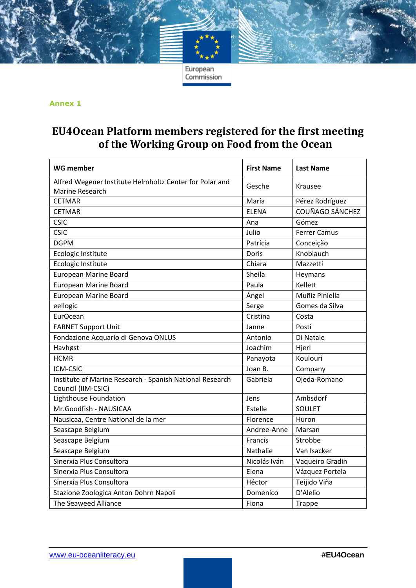#### **Annex 1**

## **EU4Ocean Platform members registered for the first meeting of the Working Group on Food from the Ocean**

| WG member                                                                      | <b>First Name</b> | <b>Last Name</b>    |  |
|--------------------------------------------------------------------------------|-------------------|---------------------|--|
| Alfred Wegener Institute Helmholtz Center for Polar and<br>Marine Research     | Gesche<br>Krausee |                     |  |
| <b>CETMAR</b>                                                                  | María             | Pérez Rodríguez     |  |
| <b>CETMAR</b>                                                                  | <b>ELENA</b>      | COUÑAGO SÁNCHEZ     |  |
| <b>CSIC</b>                                                                    | Ana               | Gómez               |  |
| <b>CSIC</b>                                                                    | Julio             | <b>Ferrer Camus</b> |  |
| <b>DGPM</b>                                                                    | Patrícia          | Conceição           |  |
| Ecologic Institute                                                             | Doris             | Knoblauch           |  |
| Ecologic Institute                                                             | Chiara            | Mazzetti            |  |
| <b>European Marine Board</b>                                                   | Sheila            | Heymans             |  |
| <b>European Marine Board</b>                                                   | Paula             | Kellett             |  |
| <b>European Marine Board</b>                                                   | Ángel             | Muñiz Piniella      |  |
| eellogic                                                                       | Serge             | Gomes da Silva      |  |
| <b>EurOcean</b>                                                                | Cristina          | Costa               |  |
| <b>FARNET Support Unit</b>                                                     | Janne             | Posti               |  |
| Fondazione Acquario di Genova ONLUS                                            | Antonio           | Di Natale           |  |
| Havhøst                                                                        | Joachim           | Hjerl               |  |
| <b>HCMR</b>                                                                    | Panayota          | Koulouri            |  |
| ICM-CSIC                                                                       | Joan B.           | Company             |  |
| Institute of Marine Research - Spanish National Research<br>Council (IIM-CSIC) | Gabriela          | Ojeda-Romano        |  |
| Lighthouse Foundation                                                          | Jens              | Ambsdorf            |  |
| Mr.Goodfish - NAUSICAA                                                         | Estelle           | <b>SOULET</b>       |  |
| Nausicaa, Centre National de la mer                                            | Florence          | Huron               |  |
| Seascape Belgium                                                               | Andree-Anne       | Marsan              |  |
| Seascape Belgium                                                               | Francis           | Strobbe             |  |
| Seascape Belgium                                                               | Nathalie          | Van Isacker         |  |
| Sinerxia Plus Consultora                                                       | Nicolás Iván      | Vaqueiro Gradín     |  |
| Sinerxia Plus Consultora                                                       | Elena             | Vázquez Portela     |  |
| Sinerxia Plus Consultora                                                       | Héctor            | Teijido Viña        |  |
| Stazione Zoologica Anton Dohrn Napoli                                          | Domenico          | D'Alelio            |  |
| The Seaweed Alliance                                                           | Fiona             | Trappe              |  |